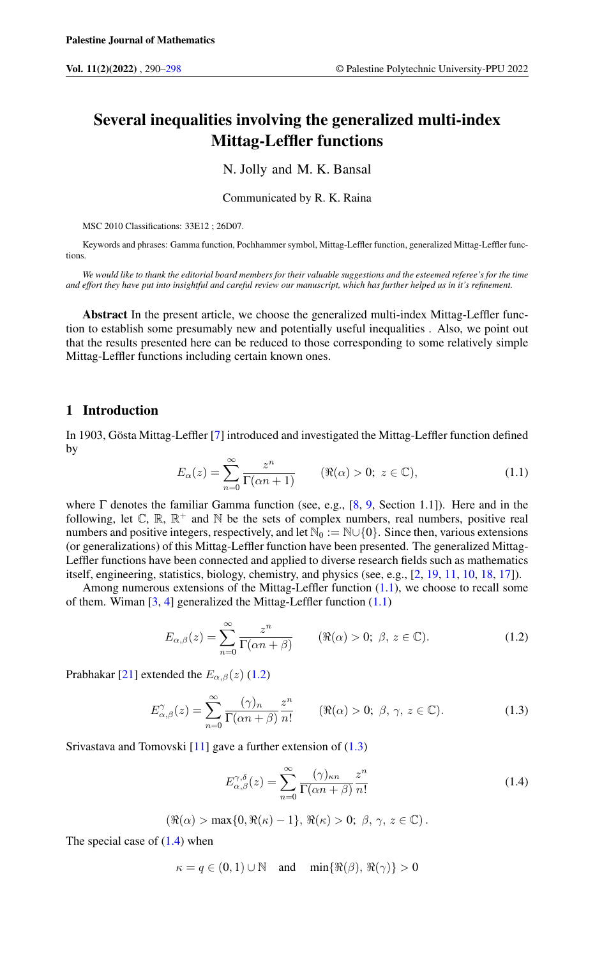# Several inequalities involving the generalized multi-index Mittag-Leffler functions

N. Jolly and M. K. Bansal

Communicated by R. K. Raina

MSC 2010 Classifications: 33E12 ; 26D07.

Keywords and phrases: Gamma function, Pochhammer symbol, Mittag-Leffler function, generalized Mittag-Leffler functions.

*We would like to thank the editorial board members for their valuable suggestions and the esteemed referee's for the time and effort they have put into insightful and careful review our manuscript, which has further helped us in it's refinement.*

Abstract In the present article, we choose the generalized multi-index Mittag-Leffler function to establish some presumably new and potentially useful inequalities . Also, we point out that the results presented here can be reduced to those corresponding to some relatively simple Mittag-Leffler functions including certain known ones.

# 1 Introduction

<span id="page-0-0"></span>In 1903, Gösta Mittag-Leffler [\[7\]](#page-7-1) introduced and investigated the Mittag-Leffler function defined by

$$
E_{\alpha}(z) = \sum_{n=0}^{\infty} \frac{z^n}{\Gamma(\alpha n + 1)} \qquad (\Re(\alpha) > 0; \ z \in \mathbb{C}), \tag{1.1}
$$

where  $\Gamma$  denotes the familiar Gamma function (see, e.g., [\[8,](#page-7-2) [9,](#page-7-3) Section 1.1]). Here and in the following, let  $\mathbb{C}$ ,  $\mathbb{R}$ ,  $\mathbb{R}^+$  and  $\mathbb{N}$  be the sets of complex numbers, real numbers, positive real numbers and positive integers, respectively, and let  $\mathbb{N}_0 := \mathbb{N} \cup \{0\}$ . Since then, various extensions (or generalizations) of this Mittag-Leffler function have been presented. The generalized Mittag-Leffler functions have been connected and applied to diverse research fields such as mathematics itself, engineering, statistics, biology, chemistry, and physics (see, e.g., [\[2,](#page-7-4) [19,](#page-7-5) [11,](#page-7-6) [10,](#page-7-7) [18,](#page-7-8) [17\]](#page-7-9)).

Among numerous extensions of the Mittag-Leffler function [\(1.1\)](#page-0-0), we choose to recall some of them. Wiman  $[3, 4]$  $[3, 4]$  $[3, 4]$  generalized the Mittag-Leffler function  $(1.1)$ 

<span id="page-0-1"></span>
$$
E_{\alpha,\beta}(z) = \sum_{n=0}^{\infty} \frac{z^n}{\Gamma(\alpha n + \beta)} \qquad (\Re(\alpha) > 0; \ \beta, \ z \in \mathbb{C}). \tag{1.2}
$$

Prabhakar [\[21\]](#page-7-12) extended the  $E_{\alpha,\beta}(z)$  [\(1.2\)](#page-0-1)

$$
E_{\alpha,\beta}^{\gamma}(z) = \sum_{n=0}^{\infty} \frac{(\gamma)_n}{\Gamma(\alpha n + \beta)} \frac{z^n}{n!} \qquad (\Re(\alpha) > 0; \ \beta, \gamma, z \in \mathbb{C}). \tag{1.3}
$$

Srivastava and Tomovski [\[11\]](#page-7-6) gave a further extension of [\(1.3\)](#page-0-2)

<span id="page-0-3"></span><span id="page-0-2"></span>
$$
E_{\alpha,\beta}^{\gamma,\delta}(z) = \sum_{n=0}^{\infty} \frac{(\gamma)_{\kappa n}}{\Gamma(\alpha n + \beta)} \frac{z^n}{n!}
$$
 (1.4)

$$
(\Re(\alpha) > \max\{0, \Re(\kappa) - 1\}, \Re(\kappa) > 0; \ \beta, \gamma, z \in \mathbb{C}).
$$

The special case of  $(1.4)$  when

 $\kappa = q \in (0, 1) \cup \mathbb{N}$  and  $\min\{\Re(\beta), \Re(\gamma)\} > 0$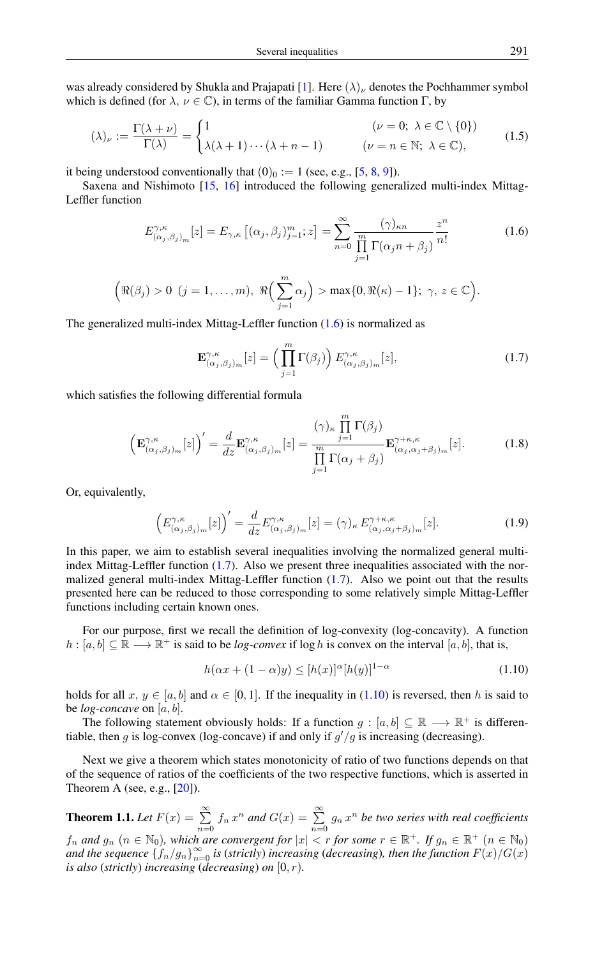was already considered by Shukla and Prajapati [\[1\]](#page-7-13). Here  $(\lambda)_\nu$  denotes the Pochhammer symbol which is defined (for  $\lambda, \nu \in \mathbb{C}$ ), in terms of the familiar Gamma function  $\Gamma$ , by

$$
(\lambda)_{\nu} := \frac{\Gamma(\lambda + \nu)}{\Gamma(\lambda)} = \begin{cases} 1 & (\nu = 0; \ \lambda \in \mathbb{C} \setminus \{0\}) \\ \lambda(\lambda + 1) \cdots (\lambda + n - 1) & (\nu = n \in \mathbb{N}; \ \lambda \in \mathbb{C}), \end{cases}
$$
(1.5)

it being understood conventionally that  $(0)_0 := 1$  (see, e.g., [\[5,](#page-7-14) [8,](#page-7-2) [9\]](#page-7-3)).

Saxena and Nishimoto [\[15,](#page-7-15) [16\]](#page-7-16) introduced the following generalized multi-index Mittag-Leffler function

<span id="page-1-0"></span>
$$
E_{(\alpha_j,\beta_j)_m}^{\gamma,\kappa}[z] = E_{\gamma,\kappa}\left[ (\alpha_j,\beta_j)_{j=1}^m; z \right] = \sum_{n=0}^{\infty} \frac{(\gamma)_{\kappa n}}{\prod_{j=1}^m \Gamma(\alpha_j n + \beta_j)} \frac{z^n}{n!}
$$
(1.6)

$$
\left(\Re(\beta_j)>0\;\;(j=1,\ldots,m),\;\Re\Big(\sum_{j=1}^m\alpha_j\Big)> \max\{0,\Re(\kappa)-1\};\;\gamma,\,z\in\mathbb{C}\right).
$$

The generalized multi-index Mittag-Leffler function [\(1.6\)](#page-1-0) is normalized as

<span id="page-1-4"></span><span id="page-1-1"></span>
$$
\mathbf{E}^{\gamma,\kappa}_{(\alpha_j,\beta_j)_m}[z] = \left(\prod_{j=1}^m \Gamma(\beta_j)\right) E^{\gamma,\kappa}_{(\alpha_j,\beta_j)_m}[z],\tag{1.7}
$$

which satisfies the following differential formula

$$
\left(\mathbf{E}_{(\alpha_j,\beta_j)_m}^{\gamma,\kappa}[z]\right)' = \frac{d}{dz}\mathbf{E}_{(\alpha_j,\beta_j)_m}^{\gamma,\kappa}[z] = \frac{(\gamma)_{\kappa}\prod_{j=1}^m\Gamma(\beta_j)}{\prod_{j=1}^m\Gamma(\alpha_j+\beta_j)}\mathbf{E}_{(\alpha_j,\alpha_j+\beta_j)_m}^{\gamma+\kappa,\kappa}[z].
$$
\n(1.8)

Or, equivalently,

<span id="page-1-3"></span>
$$
\left(E_{(\alpha_j,\beta_j)_m}^{\gamma,\kappa}[z]\right)' = \frac{d}{dz}E_{(\alpha_j,\beta_j)_m}^{\gamma,\kappa}[z] = (\gamma)_{\kappa} E_{(\alpha_j,\alpha_j+\beta_j)_m}^{\gamma+\kappa,\kappa}[z].\tag{1.9}
$$

In this paper, we aim to establish several inequalities involving the normalized general multiindex Mittag-Leffler function [\(1.7\)](#page-1-1). Also we present three inequalities associated with the normalized general multi-index Mittag-Leffler function [\(1.7\)](#page-1-1). Also we point out that the results presented here can be reduced to those corresponding to some relatively simple Mittag-Leffler functions including certain known ones.

For our purpose, first we recall the definition of log-convexity (log-concavity). A function  $h : [a, b] \subseteq \mathbb{R} \longrightarrow \mathbb{R}^+$  is said to be *log-convex* if log h is convex on the interval  $[a, b]$ , that is,

<span id="page-1-2"></span>
$$
h(\alpha x + (1 - \alpha)y) \le [h(x)]^{\alpha} [h(y)]^{1 - \alpha}
$$
\n(1.10)

holds for all  $x, y \in [a, b]$  and  $\alpha \in [0, 1]$ . If the inequality in [\(1.10\)](#page-1-2) is reversed, then h is said to be *log-concave* on [a, b].

The following statement obviously holds: If a function  $g : [a, b] \subseteq \mathbb{R} \longrightarrow \mathbb{R}^+$  is differentiable, then g is log-convex (log-concave) if and only if  $g'/g$  is increasing (decreasing).

Next we give a theorem which states monotonicity of ratio of two functions depends on that of the sequence of ratios of the coefficients of the two respective functions, which is asserted in Theorem A (see, e.g.,  $[20]$ ).

**Theorem 1.1.** Let  $F(x) = \sum_{n=1}^{\infty}$  $\sum_{n=0}^{\infty} f_n x^n$  and  $G(x) = \sum_{n=0}^{\infty}$  $\sum_{n=0}$   $g_n x^n$  be two series with real coefficients  $f_n$  and  $g_n$   $(n \in \mathbb{N}_0)$ , which are convergent for  $|x| < r$  for some  $r \in \mathbb{R}^+$ . If  $g_n \in \mathbb{R}^+$   $(n \in \mathbb{N}_0)$ and the sequence  $\{f_n/g_n\}_{n=0}^{\infty}$  is (strictly) increasing (*decreasing*)*, then the function*  $F(x)/G(x)$ *is also* (*strictly*) *increasing* (*decreasing*) *on*  $[0, r)$ *.*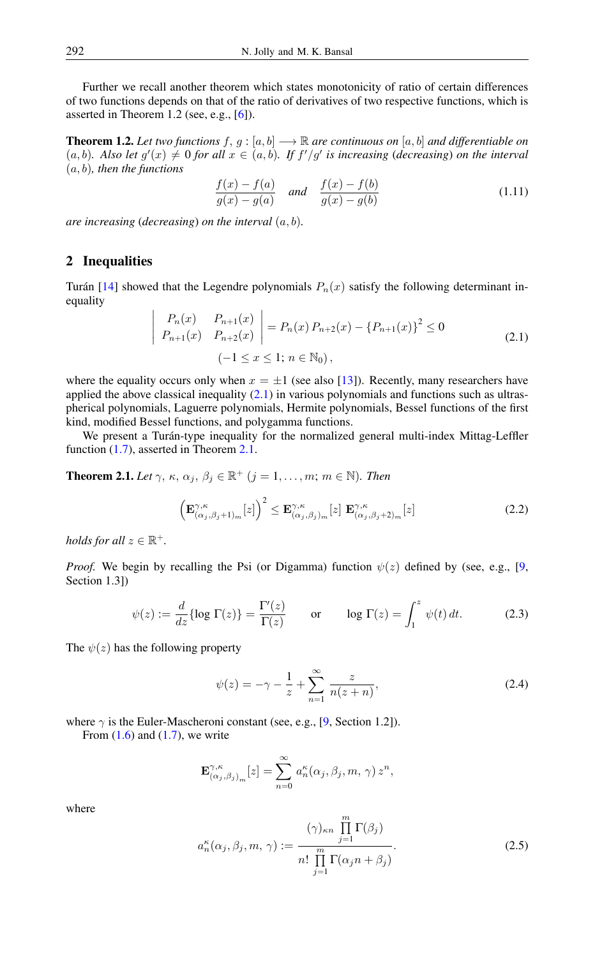Further we recall another theorem which states monotonicity of ratio of certain differences of two functions depends on that of the ratio of derivatives of two respective functions, which is asserted in Theorem 1.2 (see, e.g., [\[6\]](#page-7-18)).

**Theorem 1.2.** Let two functions  $f, g : [a, b] \longrightarrow \mathbb{R}$  are continuous on  $[a, b]$  and differentiable on  $(a, b)$ . Also let  $g'(x) \neq 0$  for all  $x \in (a, b)$ . If  $f'/g'$  is increasing (*decreasing*) on the interval (a, b)*, then the functions*

$$
\frac{f(x) - f(a)}{g(x) - g(a)} \quad \text{and} \quad \frac{f(x) - f(b)}{g(x) - g(b)} \tag{1.11}
$$

*are increasing* (*decreasing*) *on the interval* (a, b)*.*

# 2 Inequalities

<span id="page-2-0"></span>Turán [\[14\]](#page-7-19) showed that the Legendre polynomials  $P_n(x)$  satisfy the following determinant inequality

$$
\begin{vmatrix} P_n(x) & P_{n+1}(x) \ P_{n+1}(x) & P_{n+2}(x) \end{vmatrix} = P_n(x) P_{n+2}(x) - \left\{ P_{n+1}(x) \right\}^2 \le 0
$$
\n
$$
(-1 \le x \le 1; n \in \mathbb{N}_0),
$$
\n(2.1)

where the equality occurs only when  $x = \pm 1$  (see also [\[13\]](#page-7-20)). Recently, many researchers have applied the above classical inequality  $(2.1)$  in various polynomials and functions such as ultraspherical polynomials, Laguerre polynomials, Hermite polynomials, Bessel functions of the first kind, modified Bessel functions, and polygamma functions.

We present a Turán-type inequality for the normalized general multi-index Mittag-Leffler function [\(1.7\)](#page-1-1), asserted in Theorem [2.1.](#page-2-1)

<span id="page-2-1"></span>**Theorem 2.1.** *Let*  $\gamma$ ,  $\kappa$ ,  $\alpha_j$ ,  $\beta_j \in \mathbb{R}^+$   $(j = 1, \ldots, m; m \in \mathbb{N})$ *. Then* 

<span id="page-2-3"></span>
$$
\left(\mathbf{E}_{(\alpha_j,\beta_j+1)_m}^{\gamma,\kappa}[z]\right)^2 \leq \mathbf{E}_{(\alpha_j,\beta_j)_m}^{\gamma,\kappa}[z] \mathbf{E}_{(\alpha_j,\beta_j+2)_m}^{\gamma,\kappa}[z]
$$
\n(2.2)

*holds for all*  $z \in \mathbb{R}^+$ *.* 

*Proof.* We begin by recalling the Psi (or Digamma) function  $\psi(z)$  defined by (see, e.g., [\[9,](#page-7-3) Section 1.3])

$$
\psi(z) := \frac{d}{dz} \{ \log \Gamma(z) \} = \frac{\Gamma'(z)}{\Gamma(z)} \qquad \text{or} \qquad \log \Gamma(z) = \int_1^z \psi(t) \, dt. \tag{2.3}
$$

The  $\psi(z)$  has the following property

<span id="page-2-2"></span>
$$
\psi(z) = -\gamma - \frac{1}{z} + \sum_{n=1}^{\infty} \frac{z}{n(z+n)},
$$
\n(2.4)

where  $\gamma$  is the Euler-Mascheroni constant (see, e.g., [\[9,](#page-7-3) Section 1.2]).

From  $(1.6)$  and  $(1.7)$ , we write

$$
\mathbf{E}^{\gamma,\kappa}_{(\alpha_j,\beta_j)_m}[z] = \sum_{n=0}^{\infty} a_n^{\kappa}(\alpha_j,\beta_j,m,\,\gamma) z^n,
$$

where

$$
a_n^{\kappa}(\alpha_j, \beta_j, m, \gamma) := \frac{(\gamma)_{\kappa n} \prod_{j=1}^m \Gamma(\beta_j)}{n! \prod_{j=1}^m \Gamma(\alpha_j n + \beta_j)}.
$$
 (2.5)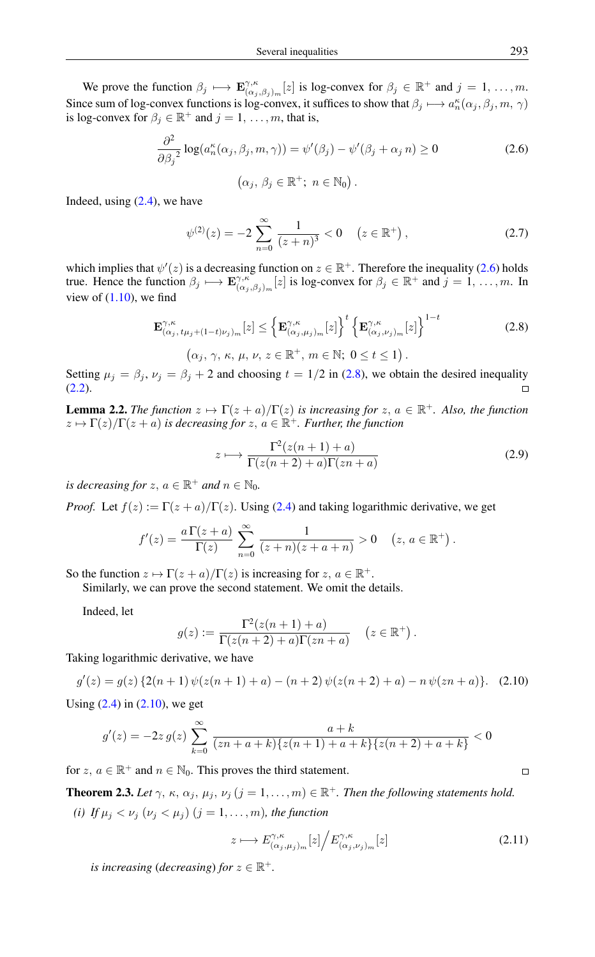We prove the function  $\beta_j \longmapsto \mathbf{E}^{\gamma,\kappa}_{(\alpha_j)}$  $C^{\gamma,\kappa}_{(\alpha_j,\beta_j)_m}[z]$  is log-convex for  $\beta_j \in \mathbb{R}^+$  and  $j = 1, \ldots, m$ . Since sum of log-convex functions is log-convex, it suffices to show that  $\beta_j \mapsto a_n^{\kappa}(\alpha_j, \beta_j, m, \gamma)$ is log-convex for  $\beta_j \in \mathbb{R}^+$  and  $j = 1, \ldots, m$ , that is,

$$
\frac{\partial^2}{\partial \beta_j^2} \log(a_n^{\kappa}(\alpha_j, \beta_j, m, \gamma)) = \psi'(\beta_j) - \psi'(\beta_j + \alpha_j n) \ge 0
$$
\n(2.6)

<span id="page-3-0"></span>
$$
(\alpha_j, \beta_j \in \mathbb{R}^+; n \in \mathbb{N}_0).
$$

Indeed, using  $(2.4)$ , we have

$$
\psi^{(2)}(z) = -2 \sum_{n=0}^{\infty} \frac{1}{(z+n)^3} < 0 \quad (z \in \mathbb{R}^+), \tag{2.7}
$$

which implies that  $\psi'(z)$  is a decreasing function on  $z \in \mathbb{R}^+$ . Therefore the inequality [\(2.6\)](#page-3-0) holds true. Hence the function  $\beta_j \mapsto \mathbf{E}^{\gamma,\kappa}_{(\alpha_j)}$  $C_{(\alpha_j,\beta_j)_m}^{\gamma,\kappa}[z]$  is log-convex for  $\beta_j \in \mathbb{R}^+$  and  $j = 1, \ldots, m$ . In view of  $(1.10)$ , we find

<span id="page-3-1"></span>
$$
\mathbf{E}^{\gamma,\kappa}_{(\alpha_j,\,t\mu_j+(1-t)\nu_j)_m}[z] \leq \left\{ \mathbf{E}^{\gamma,\kappa}_{(\alpha_j,\mu_j)_m}[z] \right\}^t \left\{ \mathbf{E}^{\gamma,\kappa}_{(\alpha_j,\nu_j)_m}[z] \right\}^{1-t}
$$
\n
$$
(\alpha_j,\,\gamma,\,\kappa,\,\mu,\,\nu,\,z\in\mathbb{R}^+, \,m\in\mathbb{N};\,0\leq t\leq 1).
$$
\n(2.8)

Setting  $\mu_i = \beta_i$ ,  $\nu_i = \beta_i + 2$  and choosing  $t = 1/2$  in [\(2.8\)](#page-3-1), we obtain the desired inequality  $(2.2).$  $(2.2).$  $\Box$ 

<span id="page-3-3"></span>**Lemma 2.2.** *The function*  $z \mapsto \Gamma(z + a)/\Gamma(z)$  *is increasing for*  $z, a \in \mathbb{R}^+$ *. Also, the function*  $z \mapsto \Gamma(z)/\Gamma(z + a)$  *is decreasing for*  $z, a \in \mathbb{R}^+$ *. Further, the function* 

$$
z \mapsto \frac{\Gamma^2(z(n+1)+a)}{\Gamma(z(n+2)+a)\Gamma(zn+a)} \tag{2.9}
$$

*is decreasing for*  $z, a \in \mathbb{R}^+$  *and*  $n \in \mathbb{N}_0$ *.* 

*Proof.* Let  $f(z) := \Gamma(z + a)/\Gamma(z)$ . Using [\(2.4\)](#page-2-2) and taking logarithmic derivative, we get

$$
f'(z) = \frac{a \Gamma(z+a)}{\Gamma(z)} \sum_{n=0}^{\infty} \frac{1}{(z+n)(z+a+n)} > 0 \quad (z, a \in \mathbb{R}^+).
$$

So the function  $z \mapsto \Gamma(z + a)/\Gamma(z)$  is increasing for  $z, a \in \mathbb{R}^+$ .

Similarly, we can prove the second statement. We omit the details.

Indeed, let

<span id="page-3-2"></span>
$$
g(z) := \frac{\Gamma^2(z(n+1)+a)}{\Gamma(z(n+2)+a)\Gamma(zn+a)} \quad (z \in \mathbb{R}^+).
$$

Taking logarithmic derivative, we have

$$
g'(z) = g(z) \{2(n+1)\psi(z(n+1)+a) - (n+2)\psi(z(n+2)+a) - n\psi(zn+a)\}.
$$
 (2.10)

Using  $(2.4)$  in  $(2.10)$ , we get

$$
g'(z) = -2z g(z) \sum_{k=0}^{\infty} \frac{a+k}{(zn+a+k)\{z(n+1)+a+k\}\{z(n+2)+a+k\}} < 0
$$

for  $z, a \in \mathbb{R}^+$  and  $n \in \mathbb{N}_0$ . This proves the third statement.

<span id="page-3-4"></span>**Theorem 2.3.** Let  $\gamma$ ,  $\kappa$ ,  $\alpha_j$ ,  $\mu_j$ ,  $\nu_j$  ( $j = 1, \ldots, m$ )  $\in \mathbb{R}^+$ . Then the following statements hold. (*i*) *If*  $\mu_j < \nu_j$  ( $\nu_j < \mu_j$ ) ( $j = 1, \ldots, m$ ), the function

$$
z \longmapsto E^{\gamma,\kappa}_{(\alpha_j,\mu_j)_m}[z] \Big/ E^{\gamma,\kappa}_{(\alpha_j,\nu_j)_m}[z] \tag{2.11}
$$

*is increasing (decreasing) for*  $z \in \mathbb{R}^+$ .

 $\Box$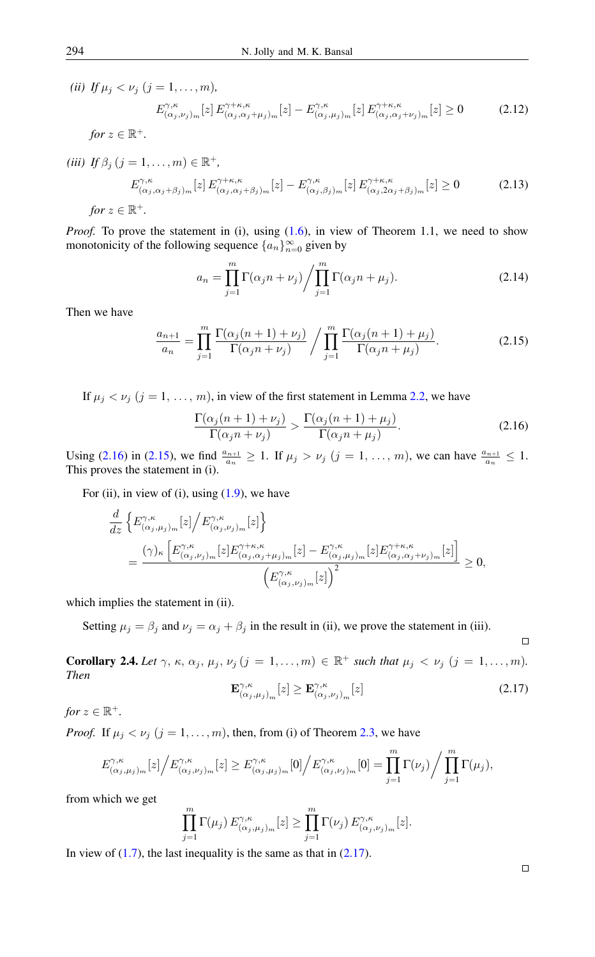*(ii)*  $If \mu_i < \nu_i$   $(i = 1, \ldots, m)$ ,

$$
E_{(\alpha_j,\nu_j)_m}^{\gamma,\kappa}[z] E_{(\alpha_j,\alpha_j+\mu_j)_m}^{\gamma+\kappa,\kappa}[z] - E_{(\alpha_j,\mu_j)_m}^{\gamma,\kappa}[z] E_{(\alpha_j,\alpha_j+\nu_j)_m}^{\gamma+\kappa,\kappa}[z] \ge 0 \tag{2.12}
$$

*for*  $z \in \mathbb{R}^+$ *.* 

$$
(iii) \ \ If \ \beta_j \ (j=1,\ldots,m) \in \mathbb{R}^+,
$$
\n
$$
E_{(\alpha_j,\alpha_j+\beta_j)_m}^{\gamma,\kappa}[z] \ E_{(\alpha_j,\alpha_j+\beta_j)_m}^{\gamma+\kappa,\kappa}[z] - E_{(\alpha_j,\beta_j)_m}^{\gamma,\kappa}[z] \ E_{(\alpha_j,2\alpha_j+\beta_j)_m}^{\gamma+\kappa,\kappa}[z] \ge 0 \tag{2.13}
$$

*for*  $z \in \mathbb{R}^+$ *.* 

*Proof.* To prove the statement in (i), using [\(1.6\)](#page-1-0), in view of Theorem 1.1, we need to show monotonicity of the following sequence  $\{a_n\}_{n=0}^{\infty}$  given by

$$
a_n = \prod_{j=1}^m \Gamma(\alpha_j n + \nu_j) / \prod_{j=1}^m \Gamma(\alpha_j n + \mu_j).
$$
 (2.14)

Then we have

<span id="page-4-1"></span>
$$
\frac{a_{n+1}}{a_n} = \prod_{j=1}^m \frac{\Gamma(\alpha_j(n+1) + \nu_j)}{\Gamma(\alpha_j n + \nu_j)} / \prod_{j=1}^m \frac{\Gamma(\alpha_j(n+1) + \mu_j)}{\Gamma(\alpha_j n + \mu_j)}.
$$
\n(2.15)

If  $\mu_j < \nu_j$   $(j = 1, \ldots, m)$ , in view of the first statement in Lemma [2.2,](#page-3-3) we have

$$
\frac{\Gamma(\alpha_j(n+1)+\nu_j)}{\Gamma(\alpha_j n+\nu_j)} > \frac{\Gamma(\alpha_j(n+1)+\mu_j)}{\Gamma(\alpha_j n+\mu_j)}.
$$
\n(2.16)

Using [\(2.16\)](#page-4-0) in [\(2.15\)](#page-4-1), we find  $\frac{a_{n+1}}{a_n} \ge 1$ . If  $\mu_j > \nu_j$   $(j = 1, ..., m)$ , we can have  $\frac{a_{n+1}}{a_n} \le 1$ . This proves the statement in (i).

For (ii), in view of (i), using  $(1.9)$ , we have

$$
\frac{d}{dz} \left\{ E^{\gamma,\kappa}_{(\alpha_j,\mu_j)_m}[z] \Big/ E^{\gamma,\kappa}_{(\alpha_j,\nu_j)_m}[z] \right\}
$$
\n
$$
= \frac{(\gamma)_{\kappa} \left[ E^{\gamma,\kappa}_{(\alpha_j,\nu_j)_m}[z] E^{\gamma+\kappa,\kappa}_{(\alpha_j,\alpha_j+\mu_j)_m}[z] - E^{\gamma,\kappa}_{(\alpha_j,\mu_j)_m}[z] E^{\gamma+\kappa,\kappa}_{(\alpha_j,\alpha_j+\nu_j)_m}[z] \right]}{\left( E^{\gamma,\kappa}_{(\alpha_j,\nu_j)_m}[z] \right)^2} \ge 0,
$$

which implies the statement in (ii).

Setting  $\mu_i = \beta_i$  and  $\nu_i = \alpha_i + \beta_i$  in the result in (ii), we prove the statement in (iii).

<span id="page-4-3"></span><span id="page-4-2"></span>**Corollary 2.4.** Let  $\gamma$ ,  $\kappa$ ,  $\alpha_j$ ,  $\mu_j$ ,  $\nu_j$   $(j = 1, \ldots, m) \in \mathbb{R}^+$  such that  $\mu_j < \nu_j$   $(j = 1, \ldots, m)$ . *Then*

$$
\mathbf{E}^{\gamma,\kappa}_{(\alpha_j,\mu_j)_m}[z] \ge \mathbf{E}^{\gamma,\kappa}_{(\alpha_j,\nu_j)_m}[z] \tag{2.17}
$$

*for*  $z \in \mathbb{R}^+$ *.* 

*Proof.* If  $\mu_j < \nu_j$   $(j = 1, ..., m)$ , then, from (i) of Theorem [2.3,](#page-3-4) we have

$$
E_{(\alpha_j,\mu_j)_m}^{\gamma,\kappa}[z]\Big/E_{(\alpha_j,\nu_j)_m}^{\gamma,\kappa}[z] \geq E_{(\alpha_j,\mu_j)_m}^{\gamma,\kappa}[0]\Big/E_{(\alpha_j,\nu_j)_m}^{\gamma,\kappa}[0]=\prod_{j=1}^m\Gamma(\nu_j)\Big/\prod_{j=1}^m\Gamma(\mu_j),
$$

from which we get

$$
\prod_{j=1}^{m} \Gamma(\mu_j) E^{\gamma,\kappa}_{(\alpha_j,\mu_j)_m}[z] \geq \prod_{j=1}^{m} \Gamma(\nu_j) E^{\gamma,\kappa}_{(\alpha_j,\nu_j)_m}[z].
$$

In view of  $(1.7)$ , the last inequality is the same as that in  $(2.17)$ .

<span id="page-4-0"></span> $\Box$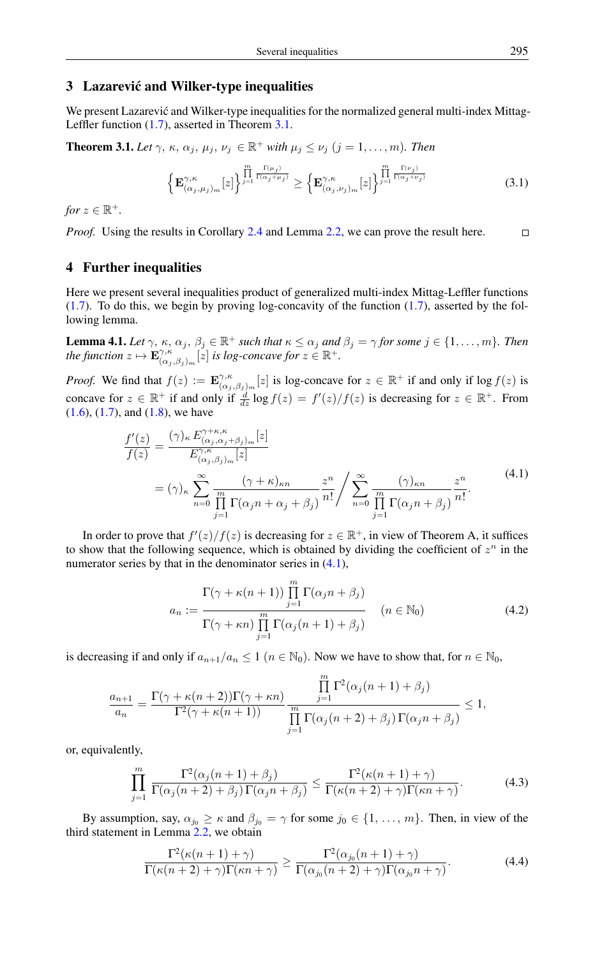#### 3 Lazarevic and Wilker-type inequalities ´

We present Lazarević and Wilker-type inequalities for the normalized general multi-index Mittag-Leffler function [\(1.7\)](#page-1-1), asserted in Theorem [3.1.](#page-5-0)

<span id="page-5-0"></span>**Theorem 3.1.** *Let*  $\gamma$ ,  $\kappa$ ,  $\alpha_j$ ,  $\mu_j$ ,  $\nu_j \in \mathbb{R}^+$  *with*  $\mu_j \leq \nu_j$   $(j = 1, \ldots, m)$ *. Then* 

$$
\left\{\mathbf{E}^{\gamma,\kappa}_{(\alpha_j,\mu_j)_m}[z]\right\}^{\prod_{j=1}^m\frac{\Gamma(\mu_j)}{\Gamma(\alpha_j+\mu_j)}} \geq \left\{\mathbf{E}^{\gamma,\kappa}_{(\alpha_j,\nu_j)_m}[z]\right\}^{\prod_{j=1}^m\frac{\Gamma(\nu_j)}{\Gamma(\alpha_j+\nu_j)}}\tag{3.1}
$$

*for*  $z \in \mathbb{R}^+$ *.* 

*Proof.* Using the results in Corollary [2.4](#page-4-3) and Lemma [2.2,](#page-3-3) we can prove the result here.  $\Box$ 

# 4 Further inequalities

Here we present several inequalities product of generalized multi-index Mittag-Leffler functions  $(1.7)$ . To do this, we begin by proving log-concavity of the function  $(1.7)$ , asserted by the following lemma.

<span id="page-5-4"></span>**Lemma 4.1.** *Let*  $\gamma$ ,  $\kappa$ ,  $\alpha_j$ ,  $\beta_j \in \mathbb{R}^+$  *such that*  $\kappa \leq \alpha_j$  *and*  $\beta_j = \gamma$  *for some*  $j \in \{1, \ldots, m\}$ *. Then the function*  $z \mapsto \mathbf{E}^{\gamma,\kappa}_{(\alpha)}$  $C^{\gamma,\kappa}_{(\alpha_j,\beta_j)_m}[z]$  *is log-concave for*  $z\in\mathbb{R}^+$ .

*Proof.* We find that  $f(z) := \mathbf{E}^{\gamma,\kappa}_{(\alpha)}$  $C^{\gamma,\kappa}_{(\alpha_j,\beta_j)_m}[z]$  is log-concave for  $z \in \mathbb{R}^+$  if and only if log  $f(z)$  is concave for  $z \in \mathbb{R}^+$  if and only if  $\frac{d}{dz} \log f(z) = f'(z)/f(z)$  is decreasing for  $z \in \mathbb{R}^+$ . From  $(1.6)$ ,  $(1.7)$ , and  $(1.8)$ , we have

<span id="page-5-1"></span>
$$
\frac{f'(z)}{f(z)} = \frac{(\gamma)_{\kappa} E_{(\alpha_j, \alpha_j + \beta_j)_m}^{\gamma + \kappa, \kappa} [z]}{E_{(\alpha_j, \beta_j)_m}^{\gamma, \kappa} [z]}
$$
\n
$$
= (\gamma)_{\kappa} \sum_{n=0}^{\infty} \frac{(\gamma + \kappa)_{\kappa n}}{\prod_{j=1}^{m} \Gamma(\alpha_j n + \alpha_j + \beta_j)} \frac{z^n}{n!} / \sum_{n=0}^{\infty} \frac{(\gamma)_{\kappa n}}{\prod_{j=1}^{m} \Gamma(\alpha_j n + \beta_j)} \frac{z^n}{n!}.
$$
\n(4.1)

In order to prove that  $f'(z)/f(z)$  is decreasing for  $z \in \mathbb{R}^+$ , in view of Theorem A, it suffices to show that the following sequence, which is obtained by dividing the coefficient of  $z^n$  in the numerator series by that in the denominator series in  $(4.1)$ ,

$$
a_n := \frac{\Gamma(\gamma + \kappa(n+1)) \prod_{j=1}^m \Gamma(\alpha_j n + \beta_j)}{\Gamma(\gamma + \kappa n) \prod_{j=1}^m \Gamma(\alpha_j(n+1) + \beta_j)} \qquad (n \in \mathbb{N}_0)
$$
\n(4.2)

is decreasing if and only if  $a_{n+1}/a_n \leq 1$   $(n \in \mathbb{N}_0)$ . Now we have to show that, for  $n \in \mathbb{N}_0$ ,

$$
\frac{a_{n+1}}{a_n} = \frac{\Gamma(\gamma + \kappa(n+2))\Gamma(\gamma + \kappa n)}{\Gamma^2(\gamma + \kappa(n+1))} \frac{\prod_{j=1}^m \Gamma^2(\alpha_j(n+1) + \beta_j)}{\prod_{j=1}^m \Gamma(\alpha_j(n+2) + \beta_j)\Gamma(\alpha_j n + \beta_j)} \le 1,
$$

or, equivalently,

<span id="page-5-3"></span>
$$
\prod_{j=1}^{m} \frac{\Gamma^2(\alpha_j(n+1)+\beta_j)}{\Gamma(\alpha_j(n+2)+\beta_j)\Gamma(\alpha_j n+\beta_j)} \leq \frac{\Gamma^2(\kappa(n+1)+\gamma)}{\Gamma(\kappa(n+2)+\gamma)\Gamma(\kappa n+\gamma)}.
$$
\n(4.3)

By assumption, say,  $\alpha_{j_0} \geq \kappa$  and  $\beta_{j_0} = \gamma$  for some  $j_0 \in \{1, \ldots, m\}$ . Then, in view of the third statement in Lemma [2.2,](#page-3-3) we obtain

<span id="page-5-2"></span>
$$
\frac{\Gamma^2(\kappa(n+1)+\gamma)}{\Gamma(\kappa(n+2)+\gamma)\Gamma(\kappa n+\gamma)} \ge \frac{\Gamma^2(\alpha_{j_0}(n+1)+\gamma)}{\Gamma(\alpha_{j_0}(n+2)+\gamma)\Gamma(\alpha_{j_0}n+\gamma)}.\tag{4.4}
$$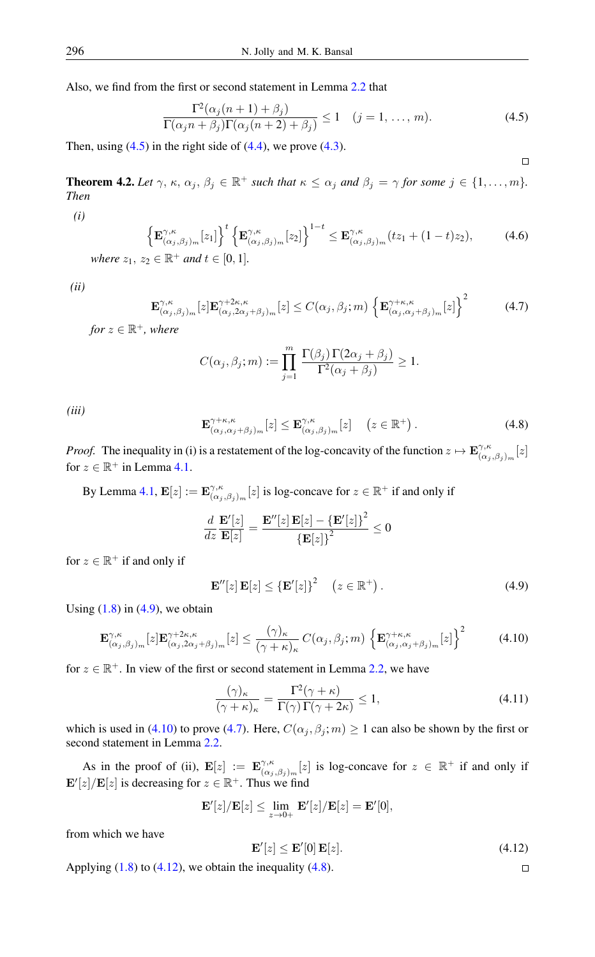Also, we find from the first or second statement in Lemma [2.2](#page-3-3) that

$$
\frac{\Gamma^2(\alpha_j(n+1)+\beta_j)}{\Gamma(\alpha_j n+\beta_j)\Gamma(\alpha_j(n+2)+\beta_j)} \le 1 \quad (j=1,\ldots,m). \tag{4.5}
$$

<span id="page-6-0"></span> $\Box$ 

Then, using  $(4.5)$  in the right side of  $(4.4)$ , we prove  $(4.3)$ .

**Theorem 4.2.** Let  $\gamma$ ,  $\kappa$ ,  $\alpha_j$ ,  $\beta_j \in \mathbb{R}^+$  such that  $\kappa \leq \alpha_j$  and  $\beta_j = \gamma$  for some  $j \in \{1, \ldots, m\}$ . *Then*

*(i)*

$$
\left\{ \mathbf{E}_{(\alpha_j,\beta_j)_m}^{\gamma,\kappa}[z_1] \right\}^t \left\{ \mathbf{E}_{(\alpha_j,\beta_j)_m}^{\gamma,\kappa}[z_2] \right\}^{1-t} \leq \mathbf{E}_{(\alpha_j,\beta_j)_m}^{\gamma,\kappa}(tz_1+(1-t)z_2),\tag{4.6}
$$

*where*  $z_1, z_2 \in \mathbb{R}^+$  *and*  $t \in [0, 1]$ *.* 

<span id="page-6-3"></span>*(ii)*

$$
\mathbf{E}_{(\alpha_j,\beta_j)_m}^{\gamma,\kappa}[z]\mathbf{E}_{(\alpha_j,2\alpha_j+\beta_j)_m}^{\gamma+2\kappa,\kappa}[z] \le C(\alpha_j,\beta_j;m) \left\{\mathbf{E}_{(\alpha_j,\alpha_j+\beta_j)_m}^{\gamma+\kappa,\kappa}[z]\right\}^2 \tag{4.7}
$$

*for*  $z \in \mathbb{R}^+$ *, where* 

$$
C(\alpha_j, \beta_j; m) := \prod_{j=1}^m \frac{\Gamma(\beta_j) \Gamma(2\alpha_j + \beta_j)}{\Gamma^2(\alpha_j + \beta_j)} \ge 1.
$$

<span id="page-6-5"></span>*(iii)*

$$
\mathbf{E}^{\gamma+\kappa,\kappa}_{(\alpha_j,\alpha_j+\beta_j)_m}[z] \leq \mathbf{E}^{\gamma,\kappa}_{(\alpha_j,\beta_j)_m}[z] \quad (z \in \mathbb{R}^+).
$$
 (4.8)

*Proof.* The inequality in (i) is a restatement of the log-concavity of the function  $z \mapsto \mathbf{E}^{\gamma,\kappa}_{(\alpha)}$  $\binom{\gamma,\kappa}{(\alpha_j,\beta_j)_m}[z]$ for  $z \in \mathbb{R}^+$  in Lemma [4.1.](#page-5-4)

By Lemma [4.1,](#page-5-4)  $\mathbf{E}[z] := \mathbf{E}^{\gamma,\kappa}_{(\alpha)}$  $C^{\gamma,\kappa}_{(\alpha_j,\beta_j)_m}[z]$  is log-concave for  $z \in \mathbb{R}^+$  if and only if

$$
\frac{d}{dz}\frac{\mathbf{E}'[z]}{\mathbf{E}[z]} = \frac{\mathbf{E}''[z]\,\mathbf{E}[z] - {\{\mathbf{E}'[z]\}}^2}{\{\mathbf{E}[z]\}^2} \leq 0
$$

for  $z \in \mathbb{R}^+$  if and only if

<span id="page-6-2"></span><span id="page-6-1"></span>
$$
\mathbf{E}''[z]\,\mathbf{E}[z] \leq {\{\mathbf{E}'[z]\}}^2 \quad (z \in \mathbb{R}^+).
$$
 (4.9)

Using  $(1.8)$  in  $(4.9)$ , we obtain

$$
\mathbf{E}^{\gamma,\kappa}_{(\alpha_j,\beta_j)_m}[z]\mathbf{E}^{\gamma+2\kappa,\kappa}_{(\alpha_j,2\alpha_j+\beta_j)_m}[z] \leq \frac{(\gamma)_{\kappa}}{(\gamma+\kappa)_{\kappa}} C(\alpha_j,\beta_j;m) \left\{\mathbf{E}^{\gamma+\kappa,\kappa}_{(\alpha_j,\alpha_j+\beta_j)_m}[z]\right\}^2 \tag{4.10}
$$

for  $z \in \mathbb{R}^+$ . In view of the first or second statement in Lemma [2.2,](#page-3-3) we have

$$
\frac{(\gamma)_{\kappa}}{(\gamma + \kappa)_{\kappa}} = \frac{\Gamma^2(\gamma + \kappa)}{\Gamma(\gamma)\Gamma(\gamma + 2\kappa)} \le 1,
$$
\n(4.11)

which is used in [\(4.10\)](#page-6-2) to prove [\(4.7\)](#page-6-3). Here,  $C(\alpha_j, \beta_j; m) \ge 1$  can also be shown by the first or second statement in Lemma [2.2.](#page-3-3)

As in the proof of (ii),  $\mathbf{E}[z] := \mathbf{E}^{\gamma,\kappa}_{(\alpha)}$  $\gamma, \kappa$   $(\alpha_j, \beta_j)_m[z]$  is log-concave for  $z \in \mathbb{R}^+$  if and only if  $\mathbf{E}'[z]/\mathbf{E}[z]$  is decreasing for  $z \in \mathbb{R}^+$ . Thus we find

<span id="page-6-4"></span>
$$
\mathbf{E}'[z]/\mathbf{E}[z] \le \lim_{z \to 0+} \mathbf{E}'[z]/\mathbf{E}[z] = \mathbf{E}'[0],
$$

from which we have

$$
\mathbf{E}'[z] \le \mathbf{E}'[0]\,\mathbf{E}[z].\tag{4.12}
$$

 $\Box$ 

Applying  $(1.8)$  to  $(4.12)$ , we obtain the inequality  $(4.8)$ .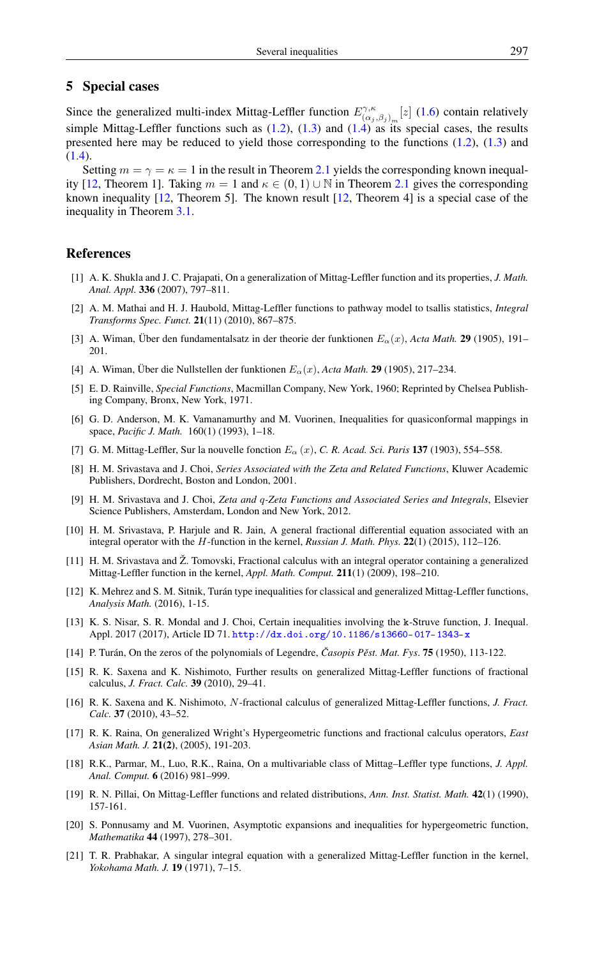# 5 Special cases

Since the generalized multi-index Mittag-Leffler function  $E_{(\alpha)}^{\gamma,\kappa}$  $(\alpha_j, \beta_j)_m [z]$  [\(1.6\)](#page-1-0) contain relatively simple Mittag-Leffler functions such as  $(1.2)$ ,  $(1.3)$  and  $(1.4)$  as its special cases, the results presented here may be reduced to yield those corresponding to the functions [\(1.2\)](#page-0-1), [\(1.3\)](#page-0-2) and [\(1.4\)](#page-0-3).

Setting  $m = \gamma = \kappa = 1$  in the result in Theorem [2.1](#page-2-1) yields the corresponding known inequal-ity [\[12,](#page-7-21) Theorem 1]. Taking  $m = 1$  and  $\kappa \in (0, 1) \cup \mathbb{N}$  in Theorem [2.1](#page-2-1) gives the corresponding known inequality [\[12,](#page-7-21) Theorem 5]. The known result [\[12,](#page-7-21) Theorem 4] is a special case of the inequality in Theorem [3.1.](#page-5-0)

#### <span id="page-7-0"></span>References

- <span id="page-7-13"></span>[1] A. K. Shukla and J. C. Prajapati, On a generalization of Mittag-Leffler function and its properties, *J. Math. Anal. Appl.* 336 (2007), 797–811.
- <span id="page-7-4"></span>[2] A. M. Mathai and H. J. Haubold, Mittag-Leffler functions to pathway model to tsallis statistics, *Integral Transforms Spec. Funct.* 21(11) (2010), 867–875.
- <span id="page-7-10"></span>[3] A. Wiman, Über den fundamentalsatz in der theorie der funktionen  $E_{\alpha}(x)$ , *Acta Math.* **29** (1905), 191– 201.
- <span id="page-7-11"></span>[4] A. Wiman, Über die Nullstellen der funktionen Eα(x), *Acta Math.* 29 (1905), 217–234.
- <span id="page-7-14"></span>[5] E. D. Rainville, *Special Functions*, Macmillan Company, New York, 1960; Reprinted by Chelsea Publishing Company, Bronx, New York, 1971.
- <span id="page-7-18"></span>[6] G. D. Anderson, M. K. Vamanamurthy and M. Vuorinen, Inequalities for quasiconformal mappings in space, *Pacific J. Math.* 160(1) (1993), 1–18.
- <span id="page-7-1"></span>[7] G. M. Mittag-Leffler, Sur la nouvelle fonction E<sup>α</sup> (x), *C. R. Acad. Sci. Paris* 137 (1903), 554–558.
- <span id="page-7-2"></span>[8] H. M. Srivastava and J. Choi, *Series Associated with the Zeta and Related Functions*, Kluwer Academic Publishers, Dordrecht, Boston and London, 2001.
- <span id="page-7-3"></span>[9] H. M. Srivastava and J. Choi, *Zeta and* q*-Zeta Functions and Associated Series and Integrals*, Elsevier Science Publishers, Amsterdam, London and New York, 2012.
- <span id="page-7-7"></span>[10] H. M. Srivastava, P. Harjule and R. Jain, A general fractional differential equation associated with an integral operator with the H-function in the kernel, *Russian J. Math. Phys.* 22(1) (2015), 112–126.
- <span id="page-7-6"></span>[11] H. M. Srivastava and Ž. Tomovski, Fractional calculus with an integral operator containing a generalized Mittag-Leffler function in the kernel, *Appl. Math. Comput.* 211(1) (2009), 198–210.
- <span id="page-7-21"></span>[12] K. Mehrez and S. M. Sitnik, Turán type inequalities for classical and generalized Mittag-Leffler functions, *Analysis Math.* (2016), 1-15.
- <span id="page-7-20"></span>[13] K. S. Nisar, S. R. Mondal and J. Choi, Certain inequalities involving the k-Struve function, J. Inequal. Appl. 2017 (2017), Article ID 71. <http://dx.doi.org/10.1186/s13660-017-1343-x>
- <span id="page-7-19"></span>[14] P. Turán, On the zeros of the polynomials of Legendre, *Casopis Pěst. Mat. Fys.* **75** (1950), 113-122.
- <span id="page-7-15"></span>[15] R. K. Saxena and K. Nishimoto, Further results on generalized Mittag-Leffler functions of fractional calculus, *J. Fract. Calc.* 39 (2010), 29–41.
- <span id="page-7-16"></span>[16] R. K. Saxena and K. Nishimoto, N-fractional calculus of generalized Mittag-Leffler functions, *J. Fract. Calc.* 37 (2010), 43–52.
- <span id="page-7-9"></span>[17] R. K. Raina, On generalized Wright's Hypergeometric functions and fractional calculus operators, *East Asian Math. J.* 21(2), (2005), 191-203.
- <span id="page-7-8"></span>[18] R.K., Parmar, M., Luo, R.K., Raina, On a multivariable class of Mittag–Leffler type functions, *J. Appl. Anal. Comput.* 6 (2016) 981–999.
- <span id="page-7-5"></span>[19] R. N. Pillai, On Mittag-Leffler functions and related distributions, *Ann. Inst. Statist. Math.* 42(1) (1990), 157-161.
- <span id="page-7-17"></span>[20] S. Ponnusamy and M. Vuorinen, Asymptotic expansions and inequalities for hypergeometric function, *Mathematika* 44 (1997), 278–301.
- <span id="page-7-12"></span>[21] T. R. Prabhakar, A singular integral equation with a generalized Mittag-Leffler function in the kernel, *Yokohama Math. J.* 19 (1971), 7–15.